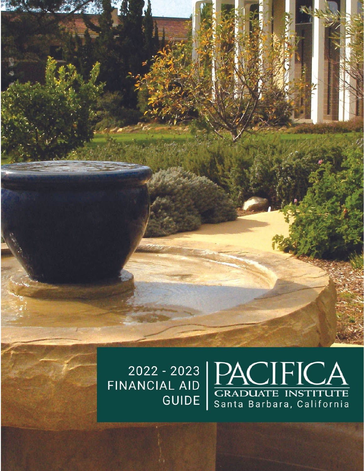$\underset{\text{Santa Barbara, California}}{\underbrace{\text{PACIFICA}}_{\text{Santa Barbara, California}}$ 2022 - 2023<br>FINANCIAL AID **GUIDE** 

 $\mathbf{K}$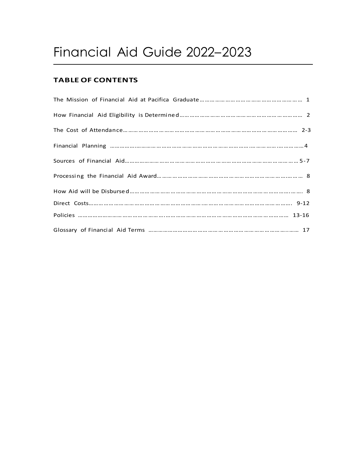# Financial Aid Guide 2022–2023

## **TABLE OF CONTENTS**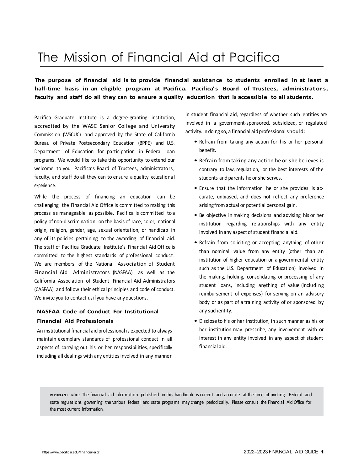## The Mission of Financial Aid at Pacifica

**The purpose of financial aid is to provide financial assistance to students enrolled in at least a half-time basis in an eligible program at Pacifica. Pacifica's Board of Trustees, administrators,**  faculty and staff do all they can to ensure a quality education that is accessible to all students.

Pacifica Graduate Institute is a degree-granting institution, accredited by the WASC Senior College and University Commission (WSCUC) and approved by the State of California Bureau of Private Postsecondary Education (BPPE) and U.S. Department of Education for participation in Federal loan programs. We would like to take this opportunity to extend our welcome to you. Pacifica's Board of Trustees, administrators, faculty, and staff do all they can to ensure a quality educatio na l experience.

While the process of financing an education can be challenging, the Financial Aid Office is committed to making this process as manageable as possible. Pacifica is committed to a policy of non-discrimination on the basis of race, color, national origin, religion, gender, age, sexual orientation, or handicap in any of its policies pertaining to the awarding of financial aid. The staff of Pacifica Graduate Institute's Financial Aid Office is committed to the highest standards of professional conduct. We are members of the National Association of Student Financial Aid Administrators (NASFAA) as well as the California Association of Student Financial Aid Administrators (CASFAA) and follow their ethical principles and code of conduct. We invite you to contact usif you have any questions.

## **NASFAA Code of Conduct For Institutional Financial Aid Professionals**

An institutional financial aid professional is expected to always maintain exemplary standards of professional conduct in all aspects of carrying out his or her responsibilities, specifically including all dealings with any entities involved in any manner

in student financial aid, regardless of whether such entities are involved in a government-sponsored, subsidized, or regulated activity. In doing so, a financial aid professional should:

- Refrain from taking any action for his or her personal benefit.
- Refrain from taking any action he or she believes is contrary to law, regulation, or the best interests of the students and parents he or she serves.
- Ensure that the information he or she provides is accurate, unbiased, and does not reflect any preference arisingfrom actual or potential personal gain.
- Be objective in making decisions and advising his or her institution regarding relationships with any entity involved in any aspect of student financial aid.
- Refrain from soliciting or accepting anything of other than nominal value from any entity (other than an institution of higher education or a governmental entity such as the U.S. Department of Education) involved in the making, holding, consolidating or processing of any student loans, including anything of value (including reimbursement of expenses) for serving on an advisory body or as part of a training activity of or sponsored by any suchentity.
- Disclose to his or her institution, in such manner as his or her institution may prescribe, any involvement with or interest in any entity involved in any aspect of student financial aid.

**IMPORTAN T NOTE:** The financial aid information published in this handbook is current and accurate at the time of printing. Federal and state regulations governing the various federal and state programs may change periodically. Please consult the Financial Aid Office for the most current information.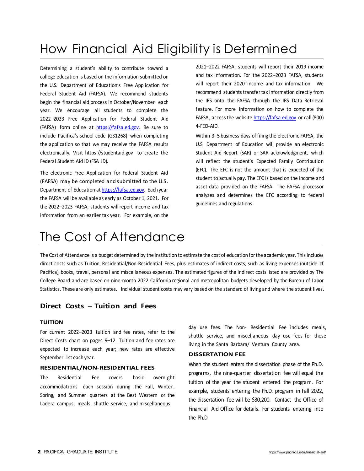## How Financial Aid Eligibility is Determined

Determining a student's ability to contribute toward a college education is based on the information submitted on the U.S. Department of Education's Free Application for Federal Student Aid (FAFSA). We recommend students begin the financial aid process in October/November each year. We encourage all students to complete the 2022–2023 Free Application for Federal Student Aid (FAFSA) form online at [https://fafsa.ed.gov.](https://fafsa.ed.gov/) Be sure to include Pacifica's school code (G31268) when completing the application so that we may receive the FAFSA results electronically. Visit https://studentaid.gov to create the Federal Student Aid ID (FSA ID).

The electronic Free Application for Federal Student Aid (FAFSA) may be completed and submitted to the U.S. Department of Education a[t https://fafsa.ed.gov.](https://fafsa.ed.gov/) Each year the FAFSA will be available as early as October 1, 2021. For the 2022–2023 FAFSA, students will report income and tax information from an earlier tax year. For example, on the

2021–2022 FAFSA, students will report their 2019 income and tax information. For the 2022–2023 FAFSA, students will report their 2020 income and tax information. We recommend students transfer tax information directly from the IRS onto the FAFSA through the IRS Data Retrieval feature. For more information on how to complete the FAFSA, access the websit[e https://fafsa.ed.gov](https://fafsa.ed.gov/) or call (800) 4-FED-AID.

Within 3–5 business days of filing the electronic FAFSA, the U.S. Department of Education will provide an electronic Student Aid Report (SAR) or SAR acknowledgment, which will reflect the student's Expected Family Contribution (EFC). The EFC is not the amount that is expected of the student to actually pay. The EFC is based on the income and asset data provided on the FAFSA. The FAFSA processor analyzes and determines the EFC according to federal guidelines and regulations.

## The Cost of Attendance

The Cost of Attendance is a budget determined by the institution to estimate the cost of education forthe academic year. This includes direct costs such as Tuition, Residential/Non-Residential Fees, plus estimates of indirect costs, such as living expenses (outside of Pacifica), books, travel, personal and miscellaneous expenses. The estimated figures of the indirect costs listed are provided by The College Board and are based on nine-month 2022 California regional and metropolitan budgets developed by the Bureau of Labor Statistics. These are only estimates. Individual student costs may vary based on the standard of living and where the student lives.

## **Direct Costs – Tuition and Fees**

### **TUITION**

For current 2022–2023 tuition and fee rates, refer to the Direct Costs chart on pages 9–12. Tuition and fee rates are expected to increase each year; new rates are effective September 1st each year.

#### **RESIDENTIAL/NON-RESIDENTIAL FEES**

The Residential Fee covers basic overnight accommodations each session during the Fall, Winter, Spring, and Summer quarters at the Best Western or the Ladera campus, meals, shuttle service, and miscellaneous

day use fees. The Non- Residential Fee includes meals, shuttle service, and miscellaneous day use fees for those living in the Santa Barbara/ Ventura County area.

#### **DISSERTATION FEE**

When the student enters the dissertation phase of the Ph.D. programs, the nine-quarter dissertation fee will equal the tuition of the year the student entered the program. For example, students entering the Ph.D. program in Fall 2022, the dissertation fee will be \$30,200. Contact the Office of Financial Aid Office for details. For students entering into the Ph.D.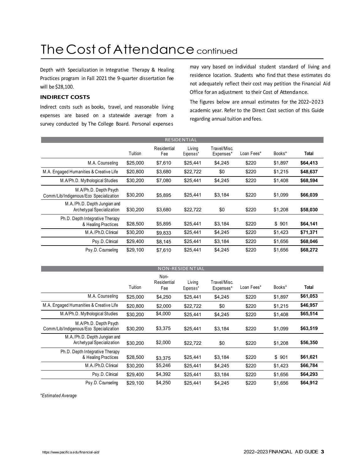## The Cost of Attendance continued

Depth with Specialization in Integrative Therapy & Healing Practices program in Fall 2021 the 9-quarter dissertation fee will be \$28,100.

## **INDIRECT COSTS**

Indirect costs such as books, travel, and reasonable living expenses are based on a statewide average from a survey conducted by The College Board. Personal expenses

may vary based on individual student standard of living and residence location. Students who find that these estimates do not adequately reflect their cost may petition the Financial Aid Office for an adjustment to their Cost of Attendance.

The figures below are annual estimates for the 2022–2023 academic year. Refer to the Direct Cost section of this Guide regarding annual tuition and fees.

|                                                                 | <b>RESIDENTIAL</b> |                    |                     |                           |            |         |          |  |
|-----------------------------------------------------------------|--------------------|--------------------|---------------------|---------------------------|------------|---------|----------|--|
|                                                                 | Tuition            | Residential<br>Fee | Living<br>Expenses* | Travel/Misc.<br>Expenses* | Loan Fees* | Books*  | Total    |  |
| M.A. Counseling                                                 | \$25,000           | \$7,610            | \$25,441            | \$4,245                   | \$220      | \$1,897 | \$64,413 |  |
| M.A. Engaged Humanities & Creative Life                         | \$20,800           | \$3,680            | \$22,722            | \$0                       | \$220      | \$1.215 | \$48,637 |  |
| M.A/Ph.D. Mythological Studies                                  | \$30,200           | \$7,080            | \$25,441            | \$4,245                   | \$220      | \$1,408 | \$68,594 |  |
| M.A/Ph.D. Depth Psych<br>Comm/Lib/Indigenous/Eco Specialization | \$30,200           | \$5,895            | \$25,441            | \$3,184                   | \$220      | \$1,099 | \$66,039 |  |
| M.A./Ph.D. Depth Jungian and<br>Archetypal Specialization       | \$30,200           | \$3,680            | \$22,722            | \$0                       | \$220      | \$1,208 | \$58,030 |  |
| Ph.D. Depth Integrative Therapy<br>& Healing Practices          | \$28,500           | \$5,895            | \$25,441            | \$3,184                   | \$220      | \$901   | \$64,141 |  |
| M.A./Ph.D. Clinical                                             | \$30,200           | \$9,833            | \$25,441            | \$4,245                   | \$220      | \$1,423 | \$71,371 |  |
| Psy.D. Clinical                                                 | \$29,400           | \$8,145            | \$25,441            | \$3,184                   | \$220      | \$1,656 | \$68,046 |  |
| Psy.D. Counseling                                               | \$29,100           | \$7.610            | \$25,441            | \$4.245                   | \$220      | \$1.656 | \$68,272 |  |

|                                                                 |          |                            | <b>NON-RESIDENTIAL</b> |                           |            |         |          |
|-----------------------------------------------------------------|----------|----------------------------|------------------------|---------------------------|------------|---------|----------|
|                                                                 | Tuition  | Non-<br>Residential<br>Fee | Living<br>Expenses*    | Travel/Misc.<br>Expenses* | Loan Fees* | Books*  | Total    |
| M.A. Counseling                                                 | \$25,000 | \$4,250                    | \$25,441               | \$4,245                   | \$220      | \$1,897 | \$61,053 |
| M.A. Engaged Humanities & Creative Life                         | \$20.800 | \$2,000                    | \$22,722               | \$0                       | \$220      | \$1,215 | \$46,957 |
| M.A/Ph.D. Mythological Studies                                  | \$30,200 | \$4,000                    | \$25,441               | \$4,245                   | \$220      | \$1,408 | \$65,514 |
| M.A/Ph.D. Depth Psych<br>Comm/Lib/Indigenous/Eco Specialization | \$30,200 | \$3,375                    | \$25,441               | \$3,184                   | \$220      | \$1,099 | \$63,519 |
| M.A./Ph.D. Depth Jungian and<br>Archetypal Specialization       | \$30.200 | \$2,000                    | \$22,722               | \$0                       | \$220      | \$1,208 | \$56,350 |
| Ph.D. Depth Integrative Therapy<br>& Healing Practices          | \$28,500 | \$3,375                    | \$25,441               | \$3,184                   | \$220      | \$901   | \$61,621 |
| M.A./Ph.D. Clinical                                             | \$30.200 | \$5,246                    | \$25.441               | \$4.245                   | \$220      | \$1,423 | \$66,784 |
| Psy.D. Clinical                                                 | \$29,400 | \$4,392                    | \$25,441               | \$3,184                   | \$220      | \$1,656 | \$64,293 |
| Psy.D. Counseling                                               | \$29,100 | \$4,250                    | \$25,441               | \$4.245                   | \$220      | \$1,656 | \$64,912 |

*\*Estimated Average*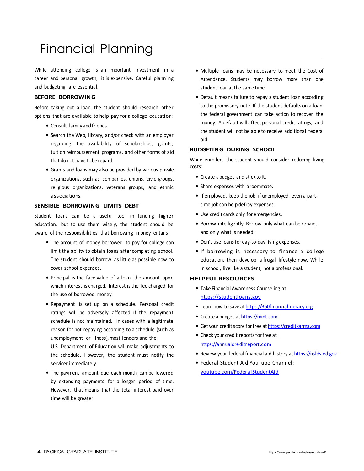## Financial Planning

While attending college is an important investment in a career and personal growth, it is expensive. Careful planning and budgeting are essential.

### **BEFORE BORROWING**

Before taking out a loan, the student should research other options that are available to help pay for a college education:

- Consult family and friends.
- Search the Web, library, and/or check with an employer regarding the availability of scholarships, grants, tuition reimbursement programs, and other forms of aid that do not have tobe repaid.
- Grants and loans may also be provided by various private organizations, such as companies, unions, civic groups, religious organizations, veterans groups, and ethnic associations.

## **SENSIBLE BORROWING LIMITS DEBT**

Student loans can be a useful tool in funding higher education, but to use them wisely, the student should be aware of the responsibilities that borrowing money entails:

- The amount of money borrowed to pay for college can limit the ability to obtain loans after completing school. The student should borrow as little as possible now to cover school expenses.
- Principal is the face value of a loan, the amount upon which interest is charged. Interest is the fee charged for the use of borrowed money.
- Repayment is set up on a schedule. Personal credit ratings will be adversely affected if the repayment schedule is not maintained. In cases with a legitimate reason for not repaying according to a schedule (such as unemployment or illness), most lenders and the

U.S. Department of Education will make adjustments to the schedule. However, the student must notify the servicer immediately.

• The payment amount due each month can be lowered by extending payments for a longer period of time. However, that means that the total interest paid over time will be greater.

- Multiple loans may be necessary to meet the Cost of Attendance. Students may borrow more than one student loan at the same time.
- Default means failure to repay a student loan according to the promissory note. If the student defaults on a loan, the federal government can take action to recover the money. A default will affect personal credit ratings, and the student will not be able to receive additional federal aid.

#### **BUDGETING DURING SCHOOL**

While enrolled, the student should consider reducing living costs:

- Create abudget and stick to it.
- Share expenses with aroommate.
- If employed, keep the job; if unemployed, even a parttime job can help defray expenses.
- Use credit cards only for emergencies.
- Borrow intelligently. Borrow only what can be repaid, and only what is needed.
- Don't use loans for day-to-day living expenses.
- If borrowing is necessary to finance a college education, then develop a frugal lifestyle now. While in school, live like a student, not a professional.

## **HELPFUL RESOURCES**

- Take Financial Awareness Counseling at [https://studentloans.gov](https://studentloans.gov/)
- Learn how to save at [https://360financialliteracy.org](https://360financialliteracy.org/)
- Create a budget at [https://mint.com](https://mint.com/)
- Get your credit score for free at [https://creditkarma.com](https://creditkarma.com/)
- Check your credi[t](https://annualcreditreport.com/) reports for free at [https://annualcreditreport.com](https://annualcreditreport.com/)
- Review your federal financial aid history at [https://nslds.ed.gov](https://nslds.ed.gov/)
- Federal Student Aid YouTube Channel: [youtube.com/FederalStudentAid](https://www.youtube.com/user/FederalStudentAid)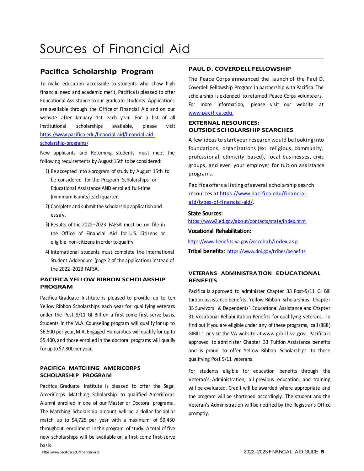## **Pacifica Scholarship Program**

To make education accessible to students who show high financial need and academic merit, Pacifica is pleased to offer Educational Assistance to our graduate students. Applications are available through the Office of Financial Aid and on our website after January 1st each year. For a list of all institutional scholarships available, please visit [https://www.pacifica.edu/financial-aid/financial-aid](https://www.pacifica.edu/financial-aid/financial-aid-scholarship-programs/)[scholarship-programs/](https://www.pacifica.edu/financial-aid/financial-aid-scholarship-programs/) 

New applicants and Returning students must meet the following requirements by August 15th to be considered:

- 1) Be accepted into a program of study by August 15th to be considered for the Program Scholarships or Educational Assistance AND enrolled full-time (minimum 6 units) each quarter.
- 2) Complete and submit the scholarship application and essay.
- 3) Results of the 2022–2023 FAFSA must be on file in the Office of Financial Aid for U.S. Citizens or eligible non-citizens in order to qualify.
- 4) International students must complete the International Student Addendum (page 2 of the application) instead of the 2022–2023 FAFSA.

## **PACIFICA YELLOW RIBBON SCHOLARSHIP PROGRAM**

Pacifica Graduate Institute is pleased to provide up to ten Yellow Ribbon Scholarships each year for qualifying veterans under the Post 9/11 GI Bill on a first-come first-serve basis. Students in the M.A. Counseling program will qualify for up to \$6,500 per year,M.A. Engaged Humanities will qualify for up to \$5,400, and those enrolled in the doctoral programs will qualify for up to \$7,800 per year.

## **PACIFICA MATCHING AMERICORPS SCHOLARSHIP PROGRAM**

Pacifica Graduate Institute is pleased to offer the Segal AmeriCorps Matching Scholarship to qualified AmeriCorps Alumni enrolled in one of our Master or Doctoral programs. The Matching Scholarship amount will be a dollar-for-dollar match up to \$4,725 per year with a maximum of \$9,450 throughout enrollment in the program of study. A total of five new scholarships will be available on a first-come first-serve basis.

## **PAUL D. COVERDELL FELLOWSHIP**

The Peace Corps announced the launch of the Paul D. Coverdell Fellowship Program in partnership with Pacifica. The scholarship is extended to returned Peace Corps volunteers. For more information, please visit our website at [www.pacifica.edu.](http://www.pacifica.edu./)

## **EXTERNAL RESOURCES: OUTSIDE SCHOLARSHIP SEARCHES**

A few ideas to start your research would be looking into foundations, organizations (ex: religious, community, professional, ethnicity based), local businesses, civic groups, and even your employer for tuition assistance programs.

Pacifica offers a listing of several scholarship search resources at [https://www.pacifica.edu/financial](https://www.pacifica.edu/financial-aid/types-of-financial-aid/)[aid/types-of-financial-aid/.](https://www.pacifica.edu/financial-aid/types-of-financial-aid/)

#### **State Sources:**

<https://www2.ed.gov/about/contacts/state/index.html> **Vocational Rehabilitation:** 

<https://www.benefits.va.gov/vocrehab/index.asp> **Tribal benefits:** <https://www.doi.gov/tribes/benefits>

## **VETERANS ADMINISTRATION EDUCATIONAL BENEFITS**

Pacifica is approved to administer Chapter 33 Post-9/11 GI Bill tuition assistance benefits, Yellow Ribbon Scholarships, Chapter 35 Survivors' & Dependents' Educational Assistance and Chapter 31 Vocational Rehabilitation Benefits for qualifying veterans. To find out if you are eligible under any of these programs, call (888) GIBILL1 or visit the VA website a[t www.gibill.va.gov.](http://www.gibill.va.gov/) Pacifica is approved to administer Chapter 33 Tuition Assistance benefits and is proud to offer Yellow Ribbon Scholarships to those qualifying Post 9/11 veterans.

For students eligible for education benefits through the Veteran's Administration, all previous education, and training will be evaluated. Credit will be awarded where appropriate and the program will be shortened accordingly. The student and the Veteran's Administration will be notified by the Registrar's Office promptly.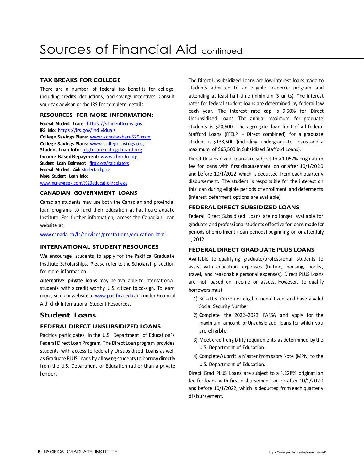## **TAX BREAKS FOR COLLEGE**

There are a number of federal tax benefits for college, including credits, deductions, and savings incentives. Consult your tax advisor or the IRS for complete details.

## **RESOURCES FOR MORE INFORMATION:**

**Federal Student Loans:** [https://studentloans.gov](https://studentloans.gov/) **IRS Info:** <https://irs.gov/individuals> **College Savings Plans:** [www.scholarshare529.com](https://www.scholarshare529.com/) **College Savings Plans:** [www.collegesavings.org](https://www.collegesavings.org/) **Student Loan Info:** [bigfuture.collegeboard.org](https://bigfuture.collegeboard.org/) **Income Based Repayment:** [www.ibrinfo.org](http://www.ibrinfo.org/) **Student Loan Estimator:** [finaid.org/calculators](https://finaid.org/calculators/) **Federal Student Aid:** [studentaid.gov](https://studentaid.gov/) **More Student Loan Info:**  [www.moneygeek.com/%20education/college](https://www.moneygeek.com/%20education/college/)

## **CANADIAN GOVERNMENT LOANS**

Canadian students may use both the Canadian and provincial loan programs to fund their education at Pacifica Graduate Institute. For further information, access the Canadian Loan website at

## [www.canada.ca/fr/services/prestations/education.html.](https://www.canada.ca/fr/services/prestations/education.html)

### **INTERNATIONAL STUDENT RESOURCES**

We encourage students to apply for the Pacifica Graduate Institute Scholarships. Please refer to the Scholarship section for more information.

**Alternative private loans** may be available to International students with a credit worthy U.S. citizen to co-sign. To learn more, visit our website at [www.pacifica.edu](http://www.pacifica.edu/) and under Financial Aid, click International Student Resources.

## **Student Loans**

## **FEDERAL DIRECT UNSUBSIDIZED LOANS**

Pacifica participates in the U.S. Department of Education's Federal Direct Loan Program. The Direct Loan program provides students with access to federally Unsubsidized Loans as well as Graduate PLUS Loans by allowing students to borrow directly from the U.S. Department of Education rather than a private lender.

The Direct Unsubsidized Loans are low-interest loans made to students admitted to an eligible academic program and attending at least half-time (minimum 3 units). The interest rates for federal student loans are determined by federal law each year. The interest rate cap is 9.50% for Direct Unsubsidized Loans. The annual maximum for graduate students is \$20,500. The aggregate loan limit of all federal Stafford Loans (FFELP + Direct combined) for a graduate student is \$138,500 (including undergraduate loans and a maximum of \$65,500 in Subsidized Stafford Loans).

Direct Unsubsidized Loans are subject to a 1.057% origination fee for loans with first disbursement on or after 10/1/2020 and before 10/1/2022 which is deducted from each quarterly disbursement. The student is responsible for the interest on this loan during eligible periods of enrollment and deferments (interest deferment options are available).

## **FEDERAL DIRECT SUBSIDIZED LOANS**

Federal Direct Subsidized Loans are no longer available for graduate and professional students effective for loans made for periods of enrollment (loan periods) beginning on or after July 1, 2012.

### **FEDERAL DIRECT GRADUATE PLUS LOANS**

Available to qualifying graduate/professional students to assist with education expenses (tuition, housing, books, travel, and reasonable personal expenses). Direct PLUS Loans are not based on income or assets. However, to qualify borrowers must:

- 1) Be a U.S. Citizen or eligible non-citizen and have a valid Social Security Number.
- 2) Complete the 2022–2023 FAFSA and apply for the maximum amount of Unsubsidized loans for which you are eligible.
- 3) Meet credit eligibility requirements as determined by the U.S. Department of Education.
- 4) Complete/submit a Master Promissory Note (MPN) to the U.S. Department of Education.

Direct Grad PLUS Loans are subject to a 4.228% origination fee for loans with first disbursement on or after 10/1/2020 and before 10/1/2022, which is deducted from each quarterly disbursement.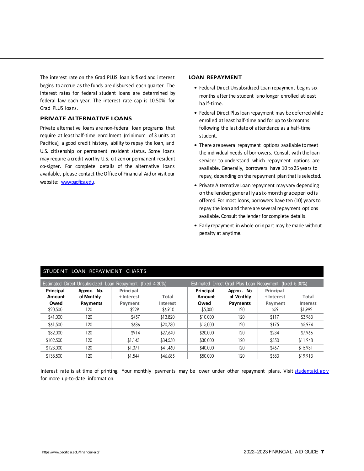The interest rate on the Grad PLUS loan is fixed and interest begins to accrue asthe funds are disbursed each quarter. The interest rates for federal student loans are determined by federal law each year. The interest rate cap is 10.50% for Grad PLUS loans.

## **PRIVATE ALTERNATIVE LOANS**

Private alternative loans are non-federal loan programs that require at least half-time enrollment (minimum of 3 units at Pacifica), a good credit history, ability to repay the loan, and U.S. citizenship or permanent resident status. Some loans may require a credit worthy U.S. citizen or permanent resident co-signer. For complete details of the alternative loans available, please contact the Office of Financial Aid or visit our website: [www.pacifica.edu.](https://www.pacifica.edu/)

#### **LOAN REPAYMENT**

- Federal Direct Unsubsidized Loan repayment begins six months afterthe student isno longer enrolled atleast half-time.
- Federal Direct Plus loan repayment may be deferred while enrolled at least half-time and for up to six months following the last date of attendance as a half-time student.
- There are several repayment options available tomeet the individual needs of borrowers. Consult with the loan servicer to understand which repayment options are available. Generally, borrowers have 10 to 25 years to repay, depending on the repayment plan that is selected.
- Private Alternative Loan repayment may vary depending onthelender;generallya six-monthgraceperiodis offered. For most loans, borrowers have ten (10) years to repay the loan and there are several repayment options available. Consult the lender for complete details.
- Early repayment inwhole orin part may be made without penalty at anytime.

| Estimated Direct Grad Plus Loan Repayment (fixed 5.30%)<br><b>Estimated Direct Unsubsidized Loan Repayment</b><br>(fixed 4.30%) |                           |                         |          |                     |                           |                         |          |  |
|---------------------------------------------------------------------------------------------------------------------------------|---------------------------|-------------------------|----------|---------------------|---------------------------|-------------------------|----------|--|
| Principal<br>Amount                                                                                                             | Approx. No.<br>of Monthly | Principal<br>+ Interest | Total    | Principal<br>Amount | Approx. No.<br>of Monthly | Principal<br>+ Interest | Total    |  |
| Owed                                                                                                                            | Payments                  | Payment                 | Interest | Owed                | Payments                  | Payment                 | Interest |  |
| \$20,500                                                                                                                        | 120                       | \$229                   | \$6,910  | \$5,000             | 120                       | \$59                    | \$1,992  |  |
| \$41,000                                                                                                                        | 120                       | \$457                   | \$13,820 | \$10,000            | 120                       | \$117                   | \$3,983  |  |
| \$61,500                                                                                                                        | 120                       | \$686                   | \$20,730 | \$15,000            | 120                       | \$175                   | \$5,974  |  |
| \$82,000                                                                                                                        | 120                       | \$914                   | \$27,640 | \$20,000            | 120                       | \$234                   | \$7,966  |  |
| \$102,500                                                                                                                       | 120                       | \$1,143                 | \$34,550 | \$30,000            | 120                       | \$350                   | \$11,948 |  |
| \$123,000                                                                                                                       | 120                       | \$1.371                 | \$41,460 | \$40,000            | 120                       | \$467                   | \$15,931 |  |
| \$138,500                                                                                                                       | 120                       | \$1.544                 | \$46,685 | \$50,000            | 120                       | \$583                   | \$19,913 |  |

## STUDENT LOAN REPAYMENT CHARTS

Interest rate is at time of printing. Your monthly payments may be lower under other repayment plans. Visit studentaid.gov for more up-to-date information.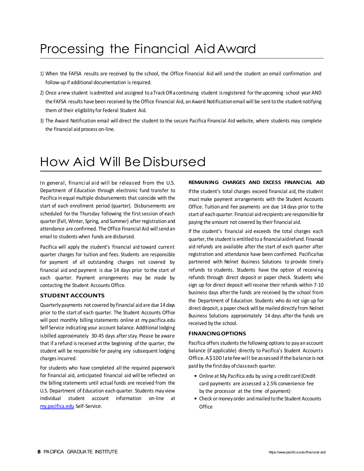## Processing the Financial AidAward

- 1) When the FAFSA results are received by the school, the Office Financial Aid will send the student an email confirmation and follow-up if additional documentation is required.
- 2) Once anew student isadmitted and assigned to aTrackORacontinuing student isregistered forthe upcoming school year AND the FAFSA results have been received by the Office Financial Aid, an Award Notification email will be sent to the student notifying them of their eligibility for Federal Student Aid.
- 3) The Award Notification email will direct the student to the secure Pacifica Financial Aid website, where students may complete the financial aid process on-line.

## How Aid Will BeDisbursed

In general, financial aid will be released from the U.S. Department of Education through electronic fund transfer to Pacifica in equal multiple disbursements that coincide with the start of each enrollment period (quarter). Disbursements are scheduled for the Thursday following the first session of each quarter(Fall, Winter, Spring, and Summer) afterregistration and attendance are confirmed. The Office Financial Aid will send an email to students when funds are disbursed.

Pacifica will apply the student's financial aid toward current quarter charges for tuition and fees. Students are responsible for payment of all outstanding charges not covered by financial aid and payment is due 14 days prior to the start of each quarter. Payment arrangements may be made by contacting the Student Accounts Office.

## **STUDENT ACCOUNTS**

Quarterlypayments not covered by financial aid are due 14 days prior to the start of each quarter. The Student Accounts Office will post monthly billing statements online at my.pacifica.edu Self Service indicating your account balance. Additional lodging isbilled approximately 30-45 days afterstay. Please be aware that if a refund is received at the beginning of the quarter, the student will be responsible for paying any subsequent lodging charges incurred.

For students who have completed all the required paperwork for financial aid, anticipated financial aid will be reflected on the billing statements until actual funds are received from the U.S. Department of Education each quarter. Students may view individual student account information on-line at [my.pacifica.edu](http://my.pacifica.edu/) Self-Service.

#### **REMAINING CHARGES AND EXCESS FINANCIAL AID**

If the student's total charges exceed financial aid, the student must make payment arrangements with the Student Accounts Office. Tuition and Fee payments are due 14 days prior to the start of each quarter. Financial aid recipients are responsible for paying the amount not covered by their financial aid.

If the student's financial aid exceeds the total charges each quarter, the student is entitled to a financial aid refund. Financial aid refunds are available after the start of each quarter after registration and attendance have been confirmed. Pacificahas partnered with Nelnet Business Solutions to provide timely refunds to students. Students have the option of receiving refunds through direct deposit or paper check. Students who sign up for direct deposit will receive their refunds within 7-10 business days afterthe funds are received by the school from the Department of Education. Students who do not sign up for direct deposit, a paper check will be mailed directly from Nelnet Business Solutions approximately 14 days afterthe funds are received by the school.

## **FINANCING OPTIONS**

Pacifica offers students the following options to pay an account balance (if applicable) directly to Pacifica's Student Accounts Office. A \$100 late fee will be assessed if the balance is not paid by the firstday of classeach quarter.

- Online at My.Pacifica.edu by using a credit card (Credit card payments are assessed a 2.5% convenience fee by the processor at the time of payment)
- Check or money order and mailed to the Student Accounts **Office**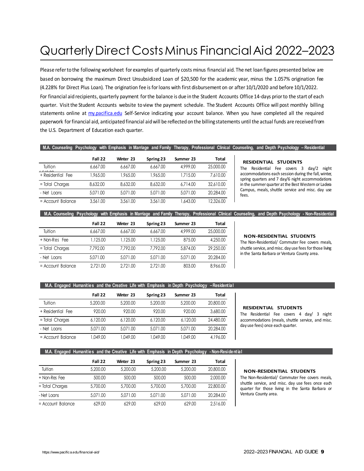## Quarterly Direct Costs Minus Financial Aid 2022–2023

Please refer to the following worksheet for examples of quarterly costs minus financial aid. The net loan figures presented below are based on borrowing the maximum Direct Unsubsidized Loan of \$20,500 for the academic year, minus the 1.057% origination fee (4.228% for Direct Plus Loan). The origination fee isforloans with first disbursement on or after 10/1/2020 and before 10/1/2022. For financial aid recipients, quarterly payment forthe balance is due in the Student Accounts Office 14-days priorto the start of each quarter. Visitthe Student Accounts website to view the payment schedule. The Student Accounts Office will post monthly billing statements online at [my.pacifica.edu](http://my.pacifica.edu/) Self-Service indicating your account balance. When you have completed all the required paperwork forfinancial aid, anticipated financial aidwill be reflected on the billingstatements until the actual funds are received from the U.S. Department of Education each quarter.

#### **M.A. Counseling Psychology with Emphasis in Marriage and Family Therapy, Professional Clinical Counseling, and Depth Psychology – Residential**

|                          | Fall 22  | Winter 23 | Spring 23 | Summer 23 | Total     |
|--------------------------|----------|-----------|-----------|-----------|-----------|
| Tuition<br>$1 - 10 - 00$ | 6.667.00 | 6.667.00  | 6.667.00  | 4,999,00  | 25,000.00 |
| + Residential Fee        | 1.965.00 | 1,965,00  | 1,965.00  | 1,715.00  | 7.610.00  |
| = Total Charges          | 8,632,00 | 8,632,00  | 8,632,00  | 6.714.00  | 32,610.00 |
| - Net Loans              | 5.071.00 | 5.071.00  | 5.071.00  | 5.071.00  | 20,284.00 |
| $=$ Account Balance      | 3.561.00 | 3.561.00  | 3.561.00  | 1,643,00  | 12.326.00 |

#### **RESIDENTIAL STUDENTS**

The Residential Fee covers 3 day/2 night accommodations each session during the fall, winter, spring quarters and 7 day/6 night accommodations in the summer quarter at the Best Western or Ladera Campus, meals, shuttle service and misc. day use fees.

#### **M.A. Counseling Psychology with Emphasis in Marriage and Family Therapy, Professional Clinical Counseling, and Depth Psychology - Non-Residential**

|                     | Fall 22  | Winter 23 | Spring 23 | Summer 23 | Total     |
|---------------------|----------|-----------|-----------|-----------|-----------|
| Tuition             | 6.667.00 | 6.667.00  | 6.667.00  | 4,999,00  | 25,000.00 |
| + Non-Res Fee       | 1.125.00 | 1.125.00  | 1.125.00  | 875.00    | 4,250,00  |
| = Total Charges     | 7.792.00 | 7.792.00  | 7.792.00  | 5,874,00  | 29,250,00 |
| - Net Loans         | 5.071.00 | 5.071.00  | 5.071.00  | 5.071.00  | 20.284.00 |
| $=$ Account Balance | 2.721.00 | 2.721.00  | 2.721.00  | 803.00    | 8,966,00  |

#### **NON-RESIDENTIAL STUDENTS**

The Non-Residential/ Commuter Fee covers meals, shuttle service, and misc. day use fees for those living in the Santa Barbara or Ventura County area.

#### **M.A. Engaged Humanities and the Creative Life with Emphasis in Depth Psychology –Residential**

|                     | Fall 22  | <b>Winter 23</b> | Spring 23 | Summer 23 | Total     |
|---------------------|----------|------------------|-----------|-----------|-----------|
| Tuition             | 5,200,00 | 5.200.00         | 5,200,00  | 5,200,00  | 20,800.00 |
| + Residential Fee   | 920.00   | 920.00           | 920.00    | 920.00    | 3,680,00  |
| = Total Charges     | 6.120.00 | 6.120.00         | 6.120.00  | 6.120.00  | 24,480.00 |
| - Net Loans         | 5.071.00 | 5.071.00         | 5.071.00  | 5.071.00  | 20.284.00 |
| $=$ Account Balance | 1.049.00 | 1.049.00         | 1.049.00  | 1.049.00  | 4,196,00  |

#### **RESIDENTIAL STUDENTS**

The Residential Fee covers 4 day/ 3 night accommodations (meals, shuttle service, and misc. day use fees) once each quarter.

#### **M.A. Engaged Humanities and the Creative Life with Emphasis in Depth Psychology - Non-Residential**

|                     | Fall 22  | <b>Winter 23</b> | Spring 23 | Summer 23 | Total     |
|---------------------|----------|------------------|-----------|-----------|-----------|
| Tuition             | 5,200,00 | 5,200,00         | 5,200,00  | 5,200,00  | 20,800.00 |
| + Non-Res Fee       | 500.00   | 500.00           | 500.00    | 500.00    | 2,000.00  |
| = Total Charges     | 5,700.00 | 5,700.00         | 5,700.00  | 5,700.00  | 22,800.00 |
| - Net Loans         | 5.071.00 | 5.071.00         | 5.071.00  | 5.071.00  | 20,284.00 |
| $=$ Account Balance | 629.00   | 629.00           | 629.00    | 629.00    | 2,516.00  |

#### **NON-RESIDENTIAL STUDENTS**

The Non-Residential/ Commuter Fee covers meals, shuttle service, and misc. day use fees once each quarter for those living in the Santa Barbara or Ventura County area.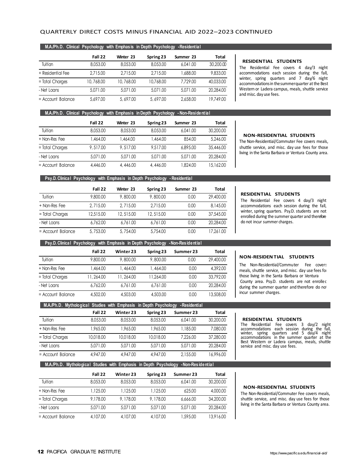## QUARTERLY DIRECT COSTS MINUS FINANCIAL AID 2022–2023 CONTINUED

|                     | Fall 22   | <b>Winter 23</b> | Spring 23 | Summer 23 | Total     |
|---------------------|-----------|------------------|-----------|-----------|-----------|
| Tuition             | 8.053.00  | 8,053,00         | 8,053,00  | 6.041.00  | 30,200.00 |
| + Residential Fee   | 2.715.00  | 2.715.00         | 2.715.00  | 1,688.00  | 9.833.00  |
| = Total Charges     | 10,768.00 | 10,768.00        | 10.768.00 | 7.729.00  | 40.033.00 |
| - Net Loans         | 5.071.00  | 5.071.00         | 5.071.00  | 5.071.00  | 20.284.00 |
| $=$ Account Balance | 5,697.00  | 5,697.00         | 5,697.00  | 2,658,00  | 19,749.00 |

#### **RESIDENTIAL STUDENTS**

The Residential Fee covers 4 day/3 night accommodations each session during the fall, winter, spring quarters and 7 day/6 night accommodations in the summer quarter at the Best Western or Ladera campus, meals, shuttle service and misc. day use fees.

#### **M.A./Ph.D. Clinical Psychology with Emphasis in Depth Psychology - Non-Residential**

|                   | Fall 22  | <b>Winter 23</b> | Spring 23 | Summer 23 | Total     |
|-------------------|----------|------------------|-----------|-----------|-----------|
| Tuition           | 8.053.00 | 8,053,00         | 8.053.00  | 6.041.00  | 30,200,00 |
| + Non-Res Fee     | 1.464.00 | 1.464.00         | 1.464.00  | 854.00    | 5,246,00  |
| = Total Charges   | 9,517.00 | 9.517.00         | 9,517.00  | 6.895.00  | 35,446.00 |
| - Net Loans       | 5.071.00 | 5.071.00         | 5.071.00  | 5.071.00  | 20.284.00 |
| = Account Balance | 4,446.00 | 4,446.00         | 4,446.00  | 1,824.00  | 15,162.00 |

#### **NON-RESIDENTIAL STUDENTS**

The Non-Residential/Commuter Fee covers meals, shuttle service, and misc. day use fees for those living in the Santa Barbara or Ventura County area.

#### **Psy.D. Clinical Psychology with Emphasis in Depth Psychology - Residential**

|                     | Fall 22   | Winter 23 | Spring 23 | Summer 23 | <b>Total</b> |
|---------------------|-----------|-----------|-----------|-----------|--------------|
| Tuition             | 9,800,00  | 9,800.00  | 9,800.00  | 0.00      | 29,400.00    |
| + Non-Res Fee       | 2.715.00  | 2.715.00  | 2.715.00  | 0.00      | 8,145,00     |
| = Total Charges     | 12.515.00 | 12,515.00 | 12,515.00 | 0.00      | 37,545.00    |
| - Net Loans         | 6.762.00  | 6.761.00  | 6.761.00  | 0.00      | 20,284.00    |
| $=$ Account Balance | 5,753.00  | 5,754.00  | 5.754.00  | 0.00      | 17.261.00    |

#### **RESIDENTIAL STUDENTS**

The Residential Fee covers 4 day/3 night accommodations each session during the fall, winter, spring quarters. Psy.D. students are not enrolled during the summer quarter and therefore do not incur summer charges.

### **Psy.D. Clinical Psychology with Emphasis in Depth Psychology -Non-Res ide ntia l**

|                     | Fall 22   | Winter 23 | Spring 23 | Summer 23 | <b>Total</b> |
|---------------------|-----------|-----------|-----------|-----------|--------------|
| Tuition             | 9,800,00  | 9.800.00  | 9,800.00  | 0.00      | 29,400.00    |
| + Non-Res Fee       | 1.464.00  | 1.464.00  | 1.464.00  | 0.00      | 4.392.00     |
| = Total Charges     | 11,264.00 | 11.264.00 | 11.264.00 | 0.00      | 33.792.00    |
| - Net Loans         | 6.762.00  | 6.761.00  | 6.761.00  | 0.00      | 20.284.00    |
| $=$ Account Balance | 4.502.00  | 4,503.00  | 4,503.00  | 0.00      | 13,508.00    |

### **NON-RESIDEN TIAL STUDENTS**

The Non-Residential/Commuter Fee covers meals, shuttle service, and misc. day use fees for those living in the Santa Barbara or Ventura County area. Psy.D. students are not enrolled during the summer quarter and therefore do not incur summer charges.

| M.A.Ph.D. Mythological Studies with Emphasis in Depth Psychology |           |           |           | - Residential |              |
|------------------------------------------------------------------|-----------|-----------|-----------|---------------|--------------|
|                                                                  | Fall 22   | Winter 23 | Spring 23 | Summer 23     | <b>Total</b> |
| Tuition                                                          | 8.053.00  | 8.053.00  | 8.053.00  | 6.041.00      | 30,200,00    |
| + Non-Res Fee                                                    | 1.965.00  | 1,965.00  | 1,965.00  | 1,185.00      | 7,080.00     |
| = Total Charges                                                  | 10.018.00 | 10.018.00 | 10.018.00 | 7.226.00      | 37.280.00    |
| - Net Loans                                                      | 5.071.00  | 5.071.00  | 5.071.00  | 5.071.00      | 20.284.00    |
| = Account Balance                                                | 4,947,00  | 4,947,00  | 4,947,00  | 2.155.00      | 16,996.00    |

#### **M.A./Ph.D. Mythological Studies with Emphasis in Depth Psychology -Non-Res ide ntia l**

|                     | Fall 22  | Winter 23 | Spring 23 | Summer 23 | Total     |
|---------------------|----------|-----------|-----------|-----------|-----------|
| Tuition             | 8.053.00 | 8.053.00  | 8,053,00  | 6.041.00  | 30,200,00 |
| + Non-Res Fee       | 1.125.00 | 1.125.00  | 1,125.00  | 625.00    | 4.000.00  |
| = Total Charges     | 9,178,00 | 9,178.00  | 9,178.00  | 6,666.00  | 34,200,00 |
| - Net Loans         | 5.071.00 | 5.071.00  | 5.071.00  | 5.071.00  | 20.284.00 |
| $=$ Account Balance | 4,107.00 | 4.107.00  | 4,107.00  | 1,595.00  | 13,916.00 |

#### **RESIDENTIAL STUDENTS**

The Residential Fee covers 3 day/2 night accommodations each session during the fall, winter, spring quarters and 5 day/4 night accommodations in the summer quarter at the Best Western or Ladera campus, meals, shuttle service and misc. day use fees.

#### **NON-RESIDENTIAL STUDENTS**

The Non-Residential/Commuter Fee covers meals, shuttle service, and misc. day use fees for those living in the Santa Barbara or Ventura County area.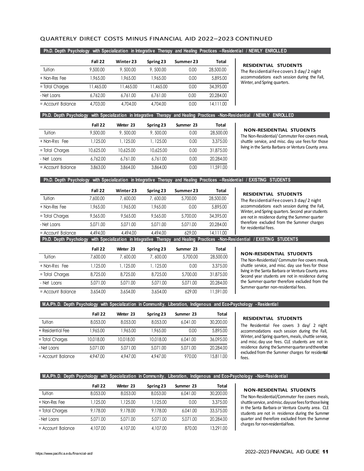## QUARTERLY DIRECT COSTS MINUS FINANCIAL AID 2022–2023 CONTINUED

#### **Ph.D. Depth Psychology with Specialization in Integrative Therapy and Healing Practices –Residential / NEWLY ENROLLED**

|                     | Fall 22   | Winter 23 | Spring 23 | Summer 23 | Total     |
|---------------------|-----------|-----------|-----------|-----------|-----------|
| Tuition             | 9,500.00  | 9,500.00  | 9,500.00  | 0.00      | 28,500.00 |
| + Non-Res Fee       | 1.965.00  | 1.965.00  | 1,965.00  | 0.00      | 5,895,00  |
| = Total Charges     | 11,465.00 | 11.465.00 | 11.465.00 | 0.00      | 34.395.00 |
| - Net Loans         | 6.762.00  | 6.761.00  | 6.761.00  | 0.00      | 20.284.00 |
| $=$ Account Balance | 4,703.00  | 4,704.00  | 4,704.00  | 0.00      | 14.111.00 |

**RESIDENTIAL STUDENTS**

The Residential Fee covers 3 day/ 2 night accommodations each session during the Fall, Winter, and Spring quarters.

#### **Ph.D. Depth Psychology with Specialization in Integrative Therapy and Healing Practices -Non-Residential / NEWLY ENROLLED**

|                     | Fall 22   | Winter 23 | Spring 23 | Summer 23 | Total     |
|---------------------|-----------|-----------|-----------|-----------|-----------|
| Tuition             | 9,500.00  | 9,500.00  | 9,500.00  | 0.00      | 28,500.00 |
| + Non-Res Fee       | 1.125.00  | 1,125.00  | 1, 125.00 | 0.00      | 3,375,00  |
| = Total Charges     | 10.625.00 | 10.625.00 | 10.625.00 | 0.00      | 31,875,00 |
| - Net Loans         | 6.762.00  | 6.761.00  | 6.761.00  | 0.00      | 20.284.00 |
| $=$ Account Balance | 3.863.00  | 3,864,00  | 3.864.00  | 0.00      | 11.591.00 |

#### **NON-RESIDENTIAL STUDENTS**

The Non-Residential/ Commuter Fee covers meals, shuttle service, and misc. day use fees for those living in the Santa Barbara or Ventura County area.

### **Ph.D. Depth Psychology with Specialization in Integrative Therapy and Healing Practices –Residential / EXISTING STUDENTS**

|                                                                                                     | Fall 22  | Winter 23 | Spring 23 | Summer 23 | Total     |
|-----------------------------------------------------------------------------------------------------|----------|-----------|-----------|-----------|-----------|
| Tuition                                                                                             | 7,600.00 | 7,600.00  | 7,600.00  | 5,700.00  | 28,500.00 |
| + Non-Res Fee                                                                                       | 1,965.00 | 1,965.00  | 1,965.00  | 0.00      | 5,895,00  |
| = Total Charges                                                                                     | 9.565.00 | 9,565,00  | 9,565,00  | 5,700.00  | 34,395.00 |
| - Net Loans                                                                                         | 5.071.00 | 5.071.00  | 5.071.00  | 5.071.00  | 20,284.00 |
| $=$ Account Balance                                                                                 | 4.494.00 | 4,494.00  | 4,494.00  | 629.00    | 14,111.00 |
| Ph.D. Denth Psychology, with Specialization in Integrative, Therapy, and Healing, Practices, Non-Ru |          |           |           |           |           |

#### **RESIDENTIAL STUDENTS**

The Residential Fee covers 3 day/ 2 night accommodations each session during the Fall, Winter, and Spring quarters. Second year students are not in residence during the Summer quarter therefore excluded from the Summer charges for residential fees.

**Ph.D. Depth Psychology with Specialization in Integrative Therapy and Healing Practices -Non-Residential / EXISTING STUDENTS**

|                     | Fall 22  | Winter 23 | Spring 23 | Summer 23 | Total     |
|---------------------|----------|-----------|-----------|-----------|-----------|
| Tuition             | 7,600.00 | 7,600.00  | 7,600.00  | 5,700.00  | 28,500.00 |
| + Non-Res Fee       | 1.125.00 | 1.125.00  | 1.125.00  | 0.00      | 3,375,00  |
| = Total Charges     | 8,725,00 | 8,725,00  | 8,725,00  | 5,700.00  | 31,875,00 |
| - Net Loans         | 5.071.00 | 5.071.00  | 5.071.00  | 5.071.00  | 20.284.00 |
| $=$ Account Balance | 3,654,00 | 3,654,00  | 3,654,00  | 629.00    | 11.591.00 |

#### **NON-RESIDENTIAL STUDENTS**

The Non-Residential/ Commuter Fee covers meals, shuttle service, and misc. day use fees for those living in the Santa Barbara or Ventura County area. Second year students are not in residence during the Summer quarter therefore excluded from the Summer quarter non-residential fees.

#### **M.A./Ph.D. Depth Psychology with Specialization in Community, Liberation, Indigenous and Eco-Psychology - Residential**

|                   | Fall 22   | <b>Winter 23</b> | Spring 23 | Summer 23 | Total     |
|-------------------|-----------|------------------|-----------|-----------|-----------|
| Tuition           | 8,053,00  | 8,053,00         | 8,053,00  | 6.041.00  | 30,200,00 |
| + Residential Fee | 1,965.00  | 1,965.00         | 1,965.00  | 0.00      | 5,895,00  |
| = Total Charges   | 10.018.00 | 10.018.00        | 10.018.00 | 6.041.00  | 36.095.00 |
| - Net Loans       | 5.071.00  | 5.071.00         | 5.071.00  | 5.071.00  | 20.284.00 |
| = Account Balance | 4,947,00  | 4,947.00         | 4,947,00  | 970.00    | 15.811.00 |

#### **RESIDENTIAL STUDENTS**

The Residential Fee covers 3 day/ 2 night accommodations each session during the Fall, Winter, and Spring quarters, meals, shuttle service, and misc. day use fees. CLE students are not in residence during the Summer quarter and therefore excluded from the Summer charges for residential fees.

**M.A./Ph.D. Depth Psychology with Specialization in Community, Liberation, Indigenous and Eco-Psychology -Non-Residential**

|                     | Fall 22  | <b>Winter 23</b> | Spring 23 | Summer 23 | Total     |
|---------------------|----------|------------------|-----------|-----------|-----------|
| Tuition             | 8.053.00 | 8.053.00         | 8.053.00  | 6.041.00  | 30,200,00 |
| + Non-Res Fee       | 1.125.00 | 1.125.00         | 1.125.00  | 0.00      | 3,375,00  |
| = Total Charges     | 9,178,00 | 9,178,00         | 9,178,00  | 6.041.00  | 33,575,00 |
| - Net Loans         | 5.071.00 | 5.071.00         | 5.071.00  | 5.071.00  | 20,284.00 |
| $=$ Account Balance | 4,107.00 | 4,107.00         | 4,107.00  | 870.00    | 13.291.00 |

### **NON-RESIDENTIAL STUDENTS**

The Non-Residential/Commuter Fee covers meals, shuttleservice, andmisc.dayusefeesforthoseliving in the Santa Barbara or Ventura County area. CLE students are not in residence during the Summer quarter and therefore excluded from the Summer charges for non-residentialfees.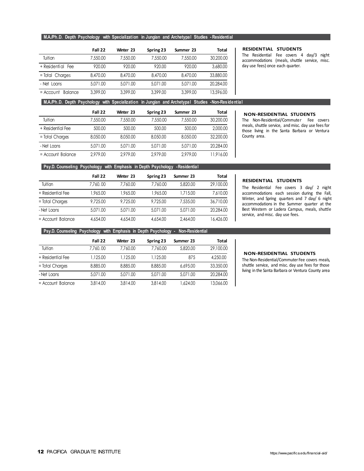## **M.A./Ph.D. Depth Psychology with Specialization in Jungian and Archetypal Studies - Residential**

|                               | Fall 22  | Winter 23 | Spring 23 | Summer 23 | Total     |
|-------------------------------|----------|-----------|-----------|-----------|-----------|
| Tuition                       | 7,550,00 | 7,550.00  | 7,550,00  | 7,550.00  | 30,200.00 |
| + Residential<br>Fee          | 920.00   | 920.00    | 920.00    | 920.00    | 3,680,00  |
| = Total Charges               | 8,470,00 | 8,470,00  | 8,470,00  | 8,470,00  | 33,880,00 |
| - Net Loans                   | 5.071.00 | 5.071.00  | 5.071.00  | 5.071.00  | 20.284.00 |
| $=$ Account<br><b>Balance</b> | 3,399,00 | 3,399,00  | 3,399,00  | 3,399,00  | 13,596.00 |

**RESIDENTIAL STUDENTS**

The Residential Fee covers 4 day/3 night accommodations (meals, shuttle service, misc. day use fees) once each quarter.

**M.A./Ph.D. Depth Psychology with Specialization in Jungian and Archetypal Studies -Non-Res ide ntia l**

|                     | Fall 22  | <b>Winter 23</b> | Spring 23 | Summer 23 | Total     |
|---------------------|----------|------------------|-----------|-----------|-----------|
| Tuition             | 7,550,00 | 7,550.00         | 7,550,00  | 7,550,00  | 30,200,00 |
| + Residential Fee   | 500.00   | 500.00           | 500.00    | 500.00    | 2,000.00  |
| = Total Charges     | 8.050.00 | 8.050.00         | 8.050.00  | 8.050.00  | 32,200.00 |
| - Net Loans         | 5.071.00 | 5.071.00         | 5.071.00  | 5.071.00  | 20.284.00 |
| $=$ Account Balance | 2,979.00 | 2,979.00         | 2,979.00  | 2.979.00  | 11,916.00 |

#### **NON-RESIDENTIAL STUDENTS**

The Non-Residential/Commuter Fee covers meals, shuttle service, and misc. day use fees for those living in the Santa Barbara or Ventura County area.

### **Psy.D. Counseling Psychology with Emphasis in Depth Psychology -Residential**

|                     | Fall 22  | Winter 23 | Spring 23 | Summer 23 | <b>Total</b> |
|---------------------|----------|-----------|-----------|-----------|--------------|
| Tuition             | 7.760.00 | 7.760.00  | 7.760.00  | 5,820,00  | 29,100.00    |
| + Residential Fee   | 1,965.00 | 1,965.00  | 1,965.00  | 1,715.00  | 7.610.00     |
| = Total Charges     | 9.725.00 | 9.725.00  | 9.725.00  | 7,535,00  | 36.710.00    |
| - Net Loans         | 5.071.00 | 5.071.00  | 5.071.00  | 5.071.00  | 20,284.00    |
| $=$ Account Balance | 4,654,00 | 4,654,00  | 4,654,00  | 2,464.00  | 16,426.00    |

#### **RESIDENTIAL STUDENTS**

The Residential Fee covers 3 day/ 2 night accommodations each session during the Fall, Winter, and Spring quarters and 7 day/ 6 night accommodations in the Summer quarter at the Best Western or Ladera Campus, meals, shuttle service, and misc. day use fees.

### **Psy.D. Counseling Psychology with Emphasis in Depth Psychology - Non-Residential**

|                     | Fall 22  | Winter 23 | Spring 23 | Summer 23 | Total     |
|---------------------|----------|-----------|-----------|-----------|-----------|
| Tuition             | 7.760.00 | 7.760.00  | 7.760.00  | 5,820,00  | 29,100.00 |
| + Residential Fee   | 1.125.00 | 1.125.00  | 1.125.00  | 875       | 4,250,00  |
| = Total Charges     | 8,885,00 | 8,885,00  | 8,885,00  | 6,695,00  | 33,350.00 |
| - Net Loans         | 5.071.00 | 5.071.00  | 5.071.00  | 5.071.00  | 20,284.00 |
| $=$ Account Balance | 3.814.00 | 3.814.00  | 3.814.00  | 1,624.00  | 13.066.00 |

#### **NON-RESIDENTIAL STUDENTS**

The Non-Residential/Commuter Fee covers meals, shuttle service, and misc. day use fees for those living in the Santa Barbara or Ventura County area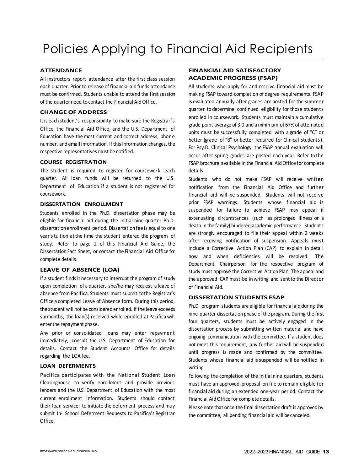## **ATTENDANCE**

All instructors report attendance after the first class session each quarter. Prior to release of financial aid funds attendance must be confirmed. Students unable to attend the first session of the quarter need to contact the Financial AidOffice.

## **CHANGE OF ADDRESS**

It is each student's responsibility to make sure the Registrar's Office, the Financial Aid Office, and the U.S. Department of Education have the most current and correct address, phone number, and email information. If this information changes, the respective representatives must be notified.

## **COURSE REGISTRATION**

The student is required to register for coursework each quarter. All loan funds will be returned to the U.S. Department of Education if a student is not registered for coursework.

## **DISSERTATION ENROLLMENT**

Students enrolled in the Ph.D. dissertation phase may be eligible for financial aid during the initial nine-quarter Ph.D. dissertation enrollment period. Dissertation fee is equal to one year's tuition atthe time the student entered the program of study. Refer to page 2 of this Financial Aid Guide, the Dissertation Fact Sheet, or contact the Financial Aid Office for complete details.

## **LEAVE OF ABSENCE (LOA)**

If a student finds it necessary to interrupt the program of study upon completion of a quarter, she/he may request a leave of absence from Pacifica. Students must submit tothe Registrar's Office a completed Leave of Absence form. During this period, the student will not be considered enrolled. If the leave exceeds sixmonths, the loan(s) received while enrolled at Pacifica will enter the repayment phase.

Any prior or consolidated loans may enter repayment immediately; consult the U.S. Department of Education for details. Contact the Student Accounts Office for details regarding the LOA fee.

## **LOAN DEFERMENTS**

Pacifica participates with the National Student Loan Clearinghouse to verify enrollment and provide previous lenders and the U.S. Department of Education with the most current enrollment information. Students should contact their loan servicer to initiate the deferment process and may submit In- School Deferment Requests to Pacifica's Registrar Office.

## **FINANCIAL AID SATISFACTORY ACADEMIC PROGRESS (FSAP)**

All students who apply for and receive financial aid must be making FSAP toward completion of degree requirements. FSAP is evaluated annually after grades are posted for the summer quarter to determine continued eligibility for those students enrolled in coursework. Students must maintain a cumulative grade point average of 3.0 and a minimum of 67%of attempted units must be successfully completed with a grade of "C" or better (grade of "B" or better required for Clinical students). For Psy.D. Clinical Psychology the FSAP annual evaluation will occur after spring grades are posted each year. Refer to the FSAP brochure available in the Financial Aid Office for complete details.

Students who do not make FSAP will receive written notification from the Financial Aid Office and further financial aid will be suspended. Students will not receive prior FSAP warnings. Students whose financial aid is suspended for failure to achieve FSAP may appeal if extenuating circumstances (such as prolonged illness or a death in the family) hindered academic performance. Students are strongly encouraged to file their appeal within 2 weeks after receiving notification of suspension. Appeals must include a Corrective Action Plan (CAP) to explain in detail how and when deficiencies will be resolved. The Department Chairperson for the respective program of study must approve the Corrective Action Plan. The appeal and the approved CAP must be in writing and sent to the Director of Financial Aid.

## **DISSERTATION STUDENTS FSAP**

Ph.D. program students are eligible for financial aid during the nine-quarter dissertation phase of the program. During the first four quarters, students must be actively engaged in the dissertation process by submitting written material and have ongoing communication with the committee. If a student does not meet this requirement, any further aid will be suspended until progress is made and confirmed by the committee. Students whose financial aid is suspended will be notified in writing.

Following the completion of the initial nine quarters, students must have an approved proposal on file to remain eligible for financial aid during an extended one-year period. Contact the Financial Aid Office for complete details.

Please note that once the final dissertation draft is approved by the committee, all pending financial aid will becanceled.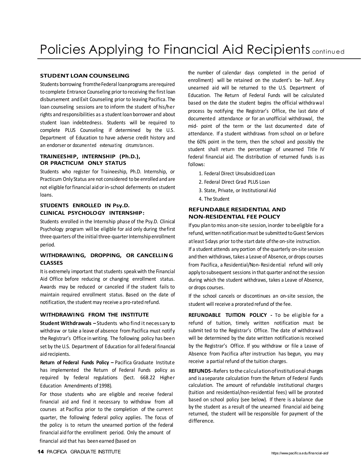## **STUDENT LOAN COUNSELING**

Students borrowing from the Federal loan programs are required to complete Entrance Counseling prior to receiving the first loan disbursement and Exit Counseling prior to leaving Pacifica. The loan counseling sessions are to inform the student of his/her rights and responsibilities as a student loan borrower and about student loan indebtedness. Students will be required to complete PLUS Counseling if determined by the U.S. Department of Education to have adverse credit history and an endorser or documented extenuating circumstances.

## **TRAINEESHIP, INTERNSHIP (Ph.D.), OR PRACTICUM ONLY STATUS**

Students who register for Traineeship, Ph.D. Internship, or Practicum Only Status are not considered to be enrolled and are not eligible for financial aid or in-school deferments on student loans.

## **STUDENTS ENROLLED IN Psy.D. CLINICAL PSYCHOLOGY INTERNSHIP:**

Students enrolled in the Internship phase of the Psy.D. Clinical Psychology program will be eligible for aid only during thefirst three quarters of the initial three-quarter Internship enrollment period.

## **WITHDRAWING, DROPPING, OR CANCELLIN G CLASSES**

It is extremely important that students speak with the Financial Aid Office before reducing or changing enrollment status. Awards may be reduced or canceled if the student fails to maintain required enrollment status. Based on the date of notification, the student may receive a pro-rated refund.

## **WITHDRAWING FROM THE INSTITUTE**

**Student Withdrawals –**Students who find itnecessary to withdraw or take a leave of absence from Pacifica must notify the Registrar's Office inwriting. The following policy has been set by the U.S. Department of Education for all federal financial aid recipients.

**Return of Federal Funds Policy –** Pacifica Graduate Institute has implemented the Return of Federal Funds policy as required by federal regulations (Sect. 668.22 Higher Education Amendments of 1998).

For those students who are eligible and receive federal financial aid and find it necessary to withdraw from all courses at Pacifica prior to the completion of the current quarter, the following federal policy applies. The focus of the policy is to return the unearned portion of the federal financial aid forthe enrollment period. Only the amount of financial aid that has been earned (based on

the number of calendar days completed in the period of enrollment) will be retained on the student's be- half. Any unearned aid will be returned to the U.S. Department of Education. The Return of Federal Funds will be calculated based on the date the student begins the official withdrawal process by notifying the Registrar's Office, the last date of documented attendance or for an unofficial withdrawal, the mid- point of the term or the last documented date of attendance. If a student withdraws from school on or before the 60% point in the term, then the school and possibly the student shall return the percentage of unearned Title IV federal financial aid. The distribution of returned funds is as follows:

- 1. Federal Direct Unsubsidized Loan
- 2. Federal Direct Grad PLUS Loan
- 3. State, Private, or Institutional Aid
- 4. The Student

## **REFUNDABLE RESIDENTIAL AND NON-RESIDENTIAL FEE POLICY**

If you plan to miss anon-site session, inorder to beeligible for a refund, written notification must be submitted to Guest Services atleast 5days prior to the start date ofthe on-site instruction.

If a student attends anyportion of the quarterly on-site session and then withdraws, takes a Leave of Absence, or drops courses from Pacifica, a Residential/Non-Residential refund will only apply to subsequent sessions in that quarter and not the session during which the student withdraws, takes a Leave of Absence, or drops courses.

If the school cancels or discontinues an on-site session, the student will receive a prorated refund of the fee.

**REFUNDABLE TUITION POLICY -** To be eligible for a refund of tuition, timely written notification must be submit ted to the Registrar's Office. The date of withdrawal will be determined by the date written notification is received by the Registrar's Office. If you withdraw or file a Leave of Absence from Pacifica after instruction has begun, you may receive a partial refund of the tuition charges.

**REFUNDS-**Refers tothecalculationofinstitutional charges and isaseparate calculation from the Return of Federal Funds calculation. The amount of refundable institutional charges (tuition and residential/non-residential fees) will be prorated based on school policy (see below). If there is a balance due by the student as a result of the unearned financial aid being returned, the student will be responsible for payment of the difference.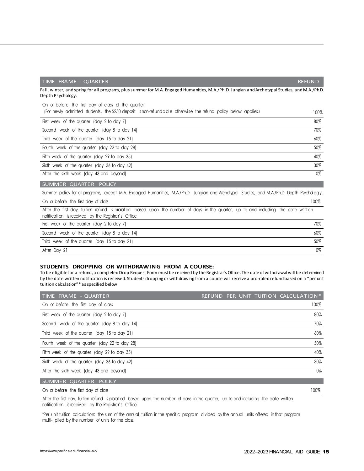| Fall, winter, and spring for all programs, plus summer for M.A. Engaged Humanities, M.A./Ph.D. Jungian and Archetypal Studies, and M.A./Ph.D.<br>Depth Psychology.                        |      |
|-------------------------------------------------------------------------------------------------------------------------------------------------------------------------------------------|------|
| On or before the first day of class of the quarter<br>(For newly admitted students, the \$250 deposit is non-refundable otherwise the refund policy below applies.)                       | 100% |
| First week of the quarter (day 2 to day 7)                                                                                                                                                | 80%  |
| Second week of the quarter (day 8 to day 14)                                                                                                                                              | 70%  |
| Third week of the quarter (day 15 to day 21)                                                                                                                                              | 60%  |
| Fourth week of the quarter (day 22 to day 28)                                                                                                                                             | 50%  |
| Fifth week of the quarter (day 29 to day 35)                                                                                                                                              | 40%  |
| Sixth week of the quarter (day 36 to day 42)                                                                                                                                              | 30%  |
| After the sixth week (day 43 and beyond)                                                                                                                                                  | 0%   |
| SUMMER QUARTER POLICY                                                                                                                                                                     |      |
| Summer policy for all programs, except M.A. Engaged Humanities, M.A./Ph.D. Jungian and Archetypal Studies, and M.A./Ph.D Depth Psychology.                                                |      |
| On or before the first day of class                                                                                                                                                       | 100% |
| After the first day, tuition refund is prorated based upon the number of days in the quarter, up to and including the date written<br>notification is received by the Reaistrar's Office. |      |

TIME FRAME - QUARTER REFUND

| increased to the contract of the second contract the contract of the contract of the contract of the contract o |     |
|-----------------------------------------------------------------------------------------------------------------|-----|
| First week of the quarter (day 2 to day 7)                                                                      | 70% |
| Second week of the quarter (day 8 to day 14)                                                                    | 60% |
| Third week of the quarter (day 15 to day 21)                                                                    | 50% |
| After Day 21                                                                                                    | 0%  |

#### **STUDENTS DROPPING OR WITHDRAWING FROM A COURSE:**

To be eligible for a refund, a completed Drop Request Form must be received by the Registrar's Office. The date of withdrawalwill be determined by the date written notification is received. Students dropping or withdrawing from a course will receive a pro-rated refund based on a "per unit tuition calculation"\* as specified below

| TIME FRAME - QUARTER                          | REFUND PER UNIT TUITION CALCULATION* |
|-----------------------------------------------|--------------------------------------|
| On or before the first day of class           | 100%                                 |
| First week of the quarter (day 2 to day 7)    | 80%                                  |
| Second week of the quarter (day 8 to day 14)  | 70%                                  |
| Third week of the quarter (day 15 to day 21)  | 60%                                  |
| Fourth week of the quarter (day 22 to day 28) | 50%                                  |
| Fifth week of the quarter (day 29 to day 35)  | 40%                                  |
| Sixth week of the quarter (day 36 to day 42)  | 30%                                  |
| After the sixth week (day 43 and beyond)      | 0%                                   |
| SUMMER QUARTER POLICY                         |                                      |
|                                               |                                      |

On or before the first day of class 100% and the first day of class 100% and the first day of class 100% and the first day of class 100% and the first day of class 100% and the first day of class 100% and the first day of

After the first day, tuition refund is prorated based upon the number of days in the quarter, up to and including the date written notification is received by the Registrar's Office.

\*Per unit tuition calculation: the sum of the annual tuition in the specific program divided by the annual units offered in that program multi- plied by the number of units for the class.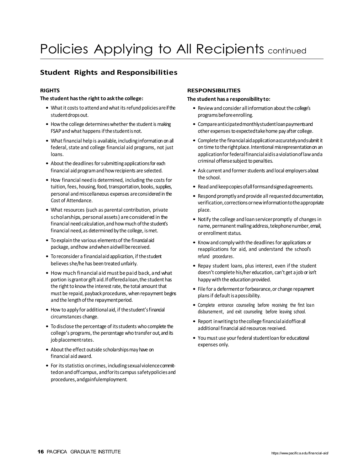# Policies Applying to All Recipients continued

## **Student Rights and Responsibilities**

## **RIGHTS**

### **The student has the right to ask the college:**

- What it costs to attend and what its refund policies are if the student drops out.
- How the college determines whether the student is making FSAP and what happens if the student is not.
- What financial help is available, including information on all federal, state and college financial aid programs, not just loans.
- About the deadlines for submitting applications for each financial aid programand howrecipients are selected.
- How financial need is determined, including the costsfor tuition, fees, housing, food, transportation, books, supplies, personal andmiscellaneous expenses areconsidered in the Cost of Attendance.
- What resources (such as parental contribution, private scholarships, personal assets) areconsidered in the financial need calculation, and how much of the student's financial need,as determined by the college, ismet.
- To explain the various elements of the financialaid package, andhow andwhen aidwillbereceived.
- To reconsider a financialaid application, if thestudent believes she/he has been treated unfairly.
- How much financial aid must be paid back, and what portion is grant or gift aid. If offeredaloan, the student has the right to know the interest rate, the total amount that must be repaid, payback procedures, when repayment begins and the length of the repayment period.
- How to apply for additionalaid, if thestudent'sfinancial circumstances change.
- To disclose the percentage of itsstudents who complete the college's programs, the percentage who transfer out, and its job placementrates.
- About the effect outside scholarships may have on financial aid award.
- For its statistics on crimes, including sexual violence committedon and off campus, and for its campus safety policies and procedures,andgainfulemployment.

## **RESPONSIBILITIES**

### **The student has a responsibility to:**

- Review and consider all information about the college's programsbeforeenrolling.
- Compareanticipatedmonthlystudentloanpaymentsand other expenses to expected take home pay after college.
- Complete the financial aid application accurately and submit it on time to the right place. Intentional misrepresentation on an applicationforfederalfinancialaidisaviolationoflawanda criminal offense subject to penalties.
- Ask current and former students and local employers about the school.
- Read and keepcopies of all forms and signed agreements.
- Respond promptly and provide all requested documentation, verification, corrections or new information to the appropriate place.
- Notify the college and loan servicerpromptly of changesin name, permanent mailing address, telephonenumber, email, or enrollment status.
- Know and comply with the deadlines for applications or reapplications for aid, and understand the school's refund procedures.
- Repay student loans, plus interest, even if the student doesn't complete his/her education, can't get a job or isn't happywith the education provided.
- File for a deferment or forbearance, or change repayment plans if default is a possibility.
- Complete entrance counseling before receiving the first loan disbursement, and exit counseling before leaving school.
- Report inwritingto thecollege financialaidofficeall additional financial aid resources received.
- You must use your federal student loan for educational expenses only.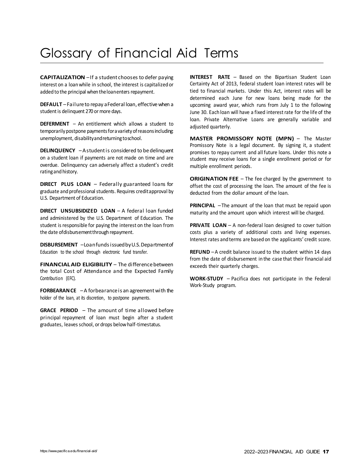## Glossary of Financial Aid Terms

**CAPITALIZATION** –If a student chooses to defer paying interest on a loanwhile in school, the interest is capitalized or added to the principal when the loan enters repayment.

DEFAULT - Failure to repay a Federal loan, effective when a student is delinquent 270 or more days.

**DEFERMENT** – An entitlement which allows a student to temporarily postpone payments for a variety of reasons including: unemployment, disabilityandreturningtoschool.

**DELINQUENCY** – A student is considered to be delinquent on a student loan if payments are not made on time and are overdue. Delinquency can adversely affect a student's credit ratingand history.

**DIRECT PLUS LOAN** – Federally guaranteed loans for graduate and professional students. Requires credit approval by U.S. Department of Education.

**DIRECT UNSUBSIDIZED LOAN** - A federal loan funded and administered by the U.S. Department of Education. The student is responsible for paying the interest on the loan from the date of disbursement through repayment.

**DISBURSEMENT** –Loanfunds issued by U.S. Department of Education to the school through electronic fund transfer.

**FINANCIAL AID ELIGIBILITY** – The difference between the total Cost of Attendance and the Expected Family Contribution (EFC).

**FORBEARANCE** – A forbearance is an agreement with the holder of the loan, at its discretion, to postpone payments.

**GRACE PERIOD** – The amount of time allowed before principal repayment of loan must begin after a student graduates, leaves school, or drops below half-timestatus.

**INTEREST RATE** – Based on the Bipartisan Student Loan Certainty Act of 2013, federal student loan interest rates will be tied to financial markets. Under this Act, interest rates will be determined each June for new loans being made for the upcoming award year, which runs from July 1 to the following June 30. Each loan will have a fixed interest rate for the life of the loan. Private Alternative Loans are generally variable and adjusted quarterly.

**MASTER PROMISSORY NOTE (MPN)** – The Master Promissory Note is a legal document. By signing it, a student promises to repay current and all future loans. Under this note a student may receive loans for a single enrollment period or for multiple enrollment periods.

**ORIGINATION FEE** – The fee charged by the government to offset the cost of processing the loan. The amount of the fee is deducted from the dollar amount of the loan.

**PRINCIPAL** –The amount of the loan that must be repaid upon maturity and the amount upon which interest will be charged.

**PRIVATE LOAN** – A non-federal loan designed to cover tuition costs plus a variety of additional costs and living expenses. Interest rates and terms are based on the applicants' credit score.

**REFUND** –A credit balance issued to the student within 14 days from the date of disbursement in the case that their financial aid exceeds their quarterly charges.

**WORK-STUDY** – Pacifica does not participate in the Federal Work-Study program.